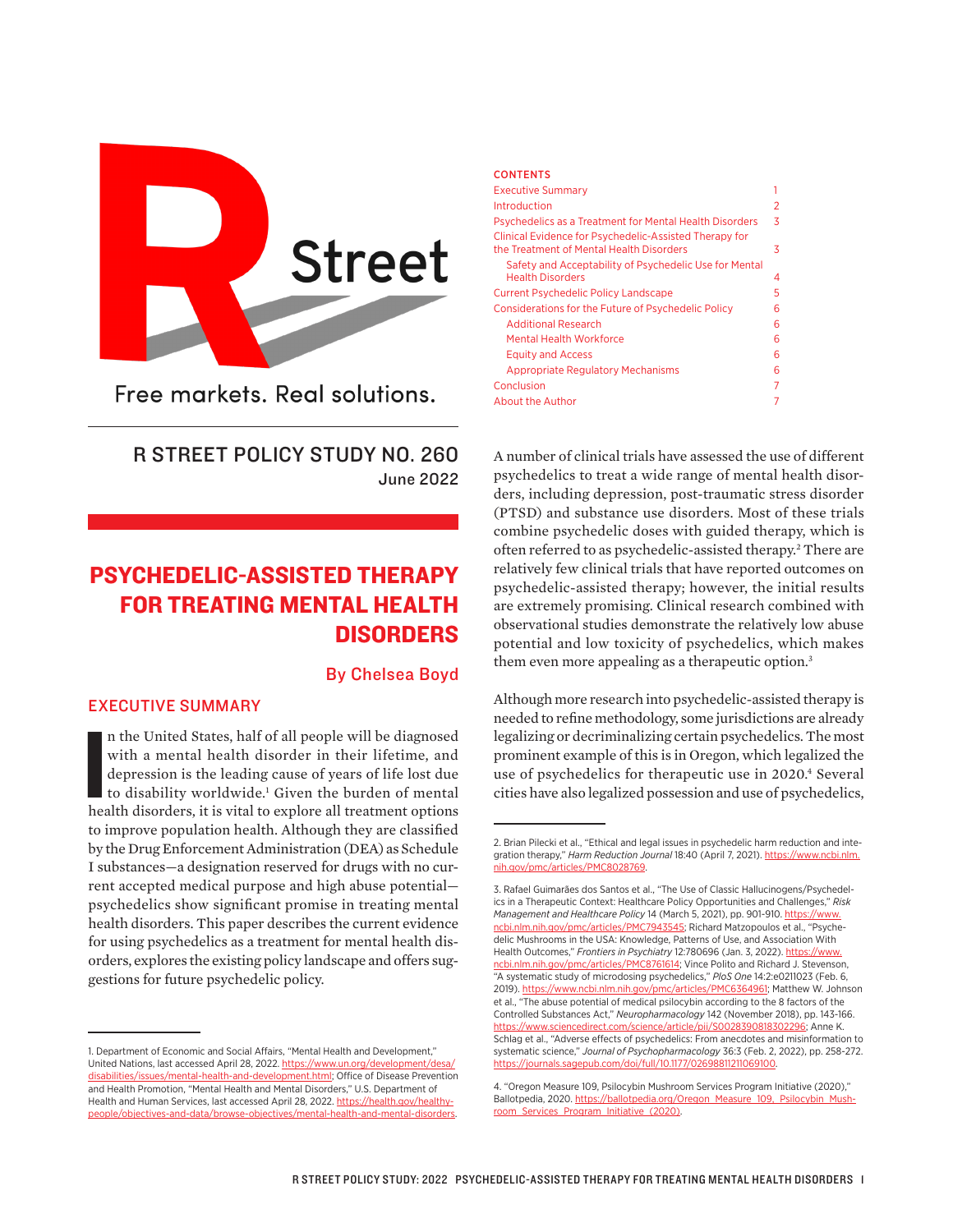

Free markets, Real solutions.

## R STREET POLICY STUDY NO. 260 June 2022

# PSYCHEDELIC-ASSISTED THERAPY FOR TREATING MENTAL HEALTH DISORDERS

#### By Chelsea Boyd

#### EXECUTIVE SUMMARY

n the United States, half of all people will be diagnosed with a mental health disorder in their lifetime, and depression is the leading cause of years of life lost due to disability worldwide.<sup>1</sup> Given the burden of menta n the United States, half of all people will be diagnosed with a mental health disorder in their lifetime, and depression is the leading cause of years of life lost due to disability worldwide.<sup>1</sup> Given the burden of mental to improve population health. Although they are classified by the Drug Enforcement Administration (DEA) as Schedule I substances—a designation reserved for drugs with no current accepted medical purpose and high abuse potential psychedelics show significant promise in treating mental health disorders. This paper describes the current evidence for using psychedelics as a treatment for mental health disorders, explores the existing policy landscape and offers suggestions for future psychedelic policy.

| <b>CONTENTS</b>                                                                                    |   |
|----------------------------------------------------------------------------------------------------|---|
| <b>Executive Summary</b>                                                                           |   |
| Introduction                                                                                       | 2 |
| Psychedelics as a Treatment for Mental Health Disorders                                            | 3 |
| Clinical Evidence for Psychedelic-Assisted Therapy for<br>the Treatment of Mental Health Disorders | 3 |
| Safety and Acceptability of Psychedelic Use for Mental<br><b>Health Disorders</b>                  | 4 |
| <b>Current Psychedelic Policy Landscape</b>                                                        | 5 |
| Considerations for the Future of Psychedelic Policy                                                | 6 |
| <b>Additional Research</b>                                                                         | 6 |
| Mental Health Workforce                                                                            | 6 |
| <b>Equity and Access</b>                                                                           | 6 |
| <b>Appropriate Regulatory Mechanisms</b>                                                           | 6 |
| Conclusion                                                                                         | 7 |
| About the Author                                                                                   |   |
|                                                                                                    |   |

A number of clinical trials have assessed the use of different psychedelics to treat a wide range of mental health disorders, including depression, post-traumatic stress disorder (PTSD) and substance use disorders. Most of these trials combine psychedelic doses with guided therapy, which is often referred to as psychedelic-assisted therapy.<sup>2</sup> There are relatively few clinical trials that have reported outcomes on psychedelic-assisted therapy; however, the initial results are extremely promising. Clinical research combined with observational studies demonstrate the relatively low abuse potential and low toxicity of psychedelics, which makes them even more appealing as a therapeutic option.<sup>3</sup>

Although more research into psychedelic-assisted therapy is needed to refine methodology, some jurisdictions are already legalizing or decriminalizing certain psychedelics. The most prominent example of this is in Oregon, which legalized the use of psychedelics for therapeutic use in 2020.<sup>4</sup> Several cities have also legalized possession and use of psychedelics,

<sup>1.</sup> Department of Economic and Social Affairs, "Mental Health and Development," United Nations, last accessed April 28, 2022. [https://www.un.org/development/desa/](https://www.un.org/development/desa/disabilities/issues/mental-health-and-development.html) [disabilities/issues/mental-health-and-development.html](https://www.un.org/development/desa/disabilities/issues/mental-health-and-development.html); Office of Disease Prevention and Health Promotion, "Mental Health and Mental Disorders," U.S. Department of Health and Human Services, last accessed April 28, 2022. [https://health.gov/healthy](https://health.gov/healthypeople/objectives-and-data/browse-objectives/mental-health-and-mental-disorders)[people/objectives-and-data/browse-objectives/mental-health-and-mental-disorders](https://health.gov/healthypeople/objectives-and-data/browse-objectives/mental-health-and-mental-disorders).

<sup>2.</sup> Brian Pilecki et al., "Ethical and legal issues in psychedelic harm reduction and integration therapy," *Harm Reduction Journal* 18:40 (April 7, 2021). [https://www.ncbi.nlm.](https://www.ncbi.nlm.nih.gov/pmc/articles/PMC8028769/) [nih.gov/pmc/articles/PMC8028769.](https://www.ncbi.nlm.nih.gov/pmc/articles/PMC8028769/)

<sup>3.</sup> Rafael Guimarães dos Santos et al., "The Use of Classic Hallucinogens/Psychedelics in a Therapeutic Context: Healthcare Policy Opportunities and Challenges," *Risk Management and Healthcare Policy* 14 (March 5, 2021), pp. 901-910. [https://www.](https://www.ncbi.nlm.nih.gov/pmc/articles/PMC7943545) [ncbi.nlm.nih.gov/pmc/articles/PMC7943545;](https://www.ncbi.nlm.nih.gov/pmc/articles/PMC7943545) Richard Matzopoulos et al., "Psychedelic Mushrooms in the USA: Knowledge, Patterns of Use, and Association With Health Outcomes," Frontiers in Psychiatry 12:780696 (Jan. 3, 2022). [https://www.](https://www.ncbi.nlm.nih.gov/pmc/articles/PMC8761614/) [ncbi.nlm.nih.gov/pmc/articles/PMC8761614;](https://www.ncbi.nlm.nih.gov/pmc/articles/PMC8761614/) Vince Polito and Richard J. Stevenson, "A systematic study of microdosing psychedelics," *PloS One* 14:2:e0211023 (Feb. 6, 2019). [https://www.ncbi.nlm.nih.gov/pmc/articles/PMC6364961](https://www.ncbi.nlm.nih.gov/pmc/articles/PMC6364961/); Matthew W. Johnson et al., "The abuse potential of medical psilocybin according to the 8 factors of the Controlled Substances Act," *Neuropharmacology* 142 (November 2018), pp. 143-166. [https://www.sciencedirect.com/science/article/pii/S0028390818302296;](https://www.sciencedirect.com/science/article/pii/S0028390818302296) Anne K. Schlag et al., "Adverse effects of psychedelics: From anecdotes and misinformation to systematic science," *Journal of Psychopharmacology* 36:3 (Feb. 2, 2022), pp. 258-272. <https://journals.sagepub.com/doi/full/10.1177/02698811211069100>.

<sup>4. &</sup>quot;Oregon Measure 109, Psilocybin Mushroom Services Program Initiative (2020)," Ballotpedia, 2020. [https://ballotpedia.org/Oregon\\_Measure\\_109,\\_Psilocybin\\_Mush](https://ballotpedia.org/Oregon_Measure_109,_Psilocybin_Mushroom_Services_Program_Initiative_(2020))[room\\_Services\\_Program\\_Initiative\\_\(2020\)](https://ballotpedia.org/Oregon_Measure_109,_Psilocybin_Mushroom_Services_Program_Initiative_(2020)).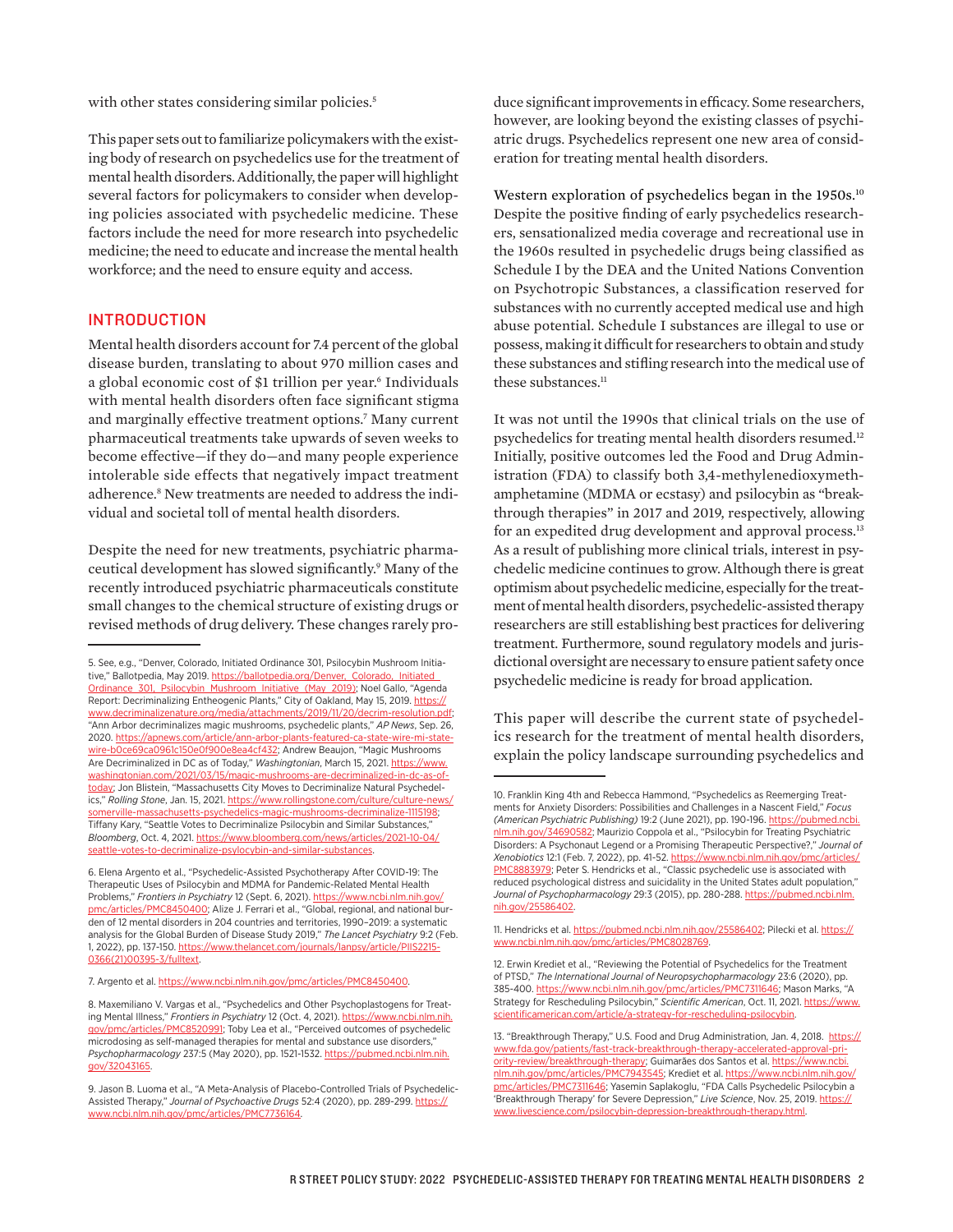with other states considering similar policies.<sup>5</sup>

This paper sets out to familiarize policymakers with the existing body of research on psychedelics use for the treatment of mental health disorders. Additionally, the paper will highlight several factors for policymakers to consider when developing policies associated with psychedelic medicine. These factors include the need for more research into psychedelic medicine; the need to educate and increase the mental health workforce; and the need to ensure equity and access.

#### INTRODUCTION

Mental health disorders account for 7.4 percent of the global disease burden, translating to about 970 million cases and a global economic cost of \$1 trillion per year.<sup>6</sup> Individuals with mental health disorders often face significant stigma and marginally effective treatment options.7 Many current pharmaceutical treatments take upwards of seven weeks to become effective—if they do—and many people experience intolerable side effects that negatively impact treatment adherence.8 New treatments are needed to address the individual and societal toll of mental health disorders.

Despite the need for new treatments, psychiatric pharmaceutical development has slowed significantly.9 Many of the recently introduced psychiatric pharmaceuticals constitute small changes to the chemical structure of existing drugs or revised methods of drug delivery. These changes rarely pro-

7. Argento et al. [https://www.ncbi.nlm.nih.gov/pmc/articles/PMC8450400](https://www.ncbi.nlm.nih.gov/pmc/articles/PMC8450400/).

duce significant improvements in efficacy. Some researchers, however, are looking beyond the existing classes of psychiatric drugs. Psychedelics represent one new area of consideration for treating mental health disorders.

Western exploration of psychedelics began in the 1950s.<sup>10</sup> Despite the positive finding of early psychedelics researchers, sensationalized media coverage and recreational use in the 1960s resulted in psychedelic drugs being classified as Schedule I by the DEA and the United Nations Convention on Psychotropic Substances, a classification reserved for substances with no currently accepted medical use and high abuse potential. Schedule I substances are illegal to use or possess, making it difficult for researchers to obtain and study these substances and stifling research into the medical use of these substances.<sup>11</sup>

It was not until the 1990s that clinical trials on the use of psychedelics for treating mental health disorders resumed.12 Initially, positive outcomes led the Food and Drug Administration (FDA) to classify both 3,4-methylenedioxymethamphetamine (MDMA or ecstasy) and psilocybin as "breakthrough therapies" in 2017 and 2019, respectively, allowing for an expedited drug development and approval process.<sup>13</sup> As a result of publishing more clinical trials, interest in psychedelic medicine continues to grow. Although there is great optimism about psychedelic medicine, especially for the treatment of mental health disorders, psychedelic-assisted therapy researchers are still establishing best practices for delivering treatment. Furthermore, sound regulatory models and jurisdictional oversight are necessary to ensure patient safety once psychedelic medicine is ready for broad application.

This paper will describe the current state of psychedelics research for the treatment of mental health disorders, explain the policy landscape surrounding psychedelics and

<sup>5.</sup> See, e.g., "Denver, Colorado, Initiated Ordinance 301, Psilocybin Mushroom Initiative," Ballotpedia, May 2019. https://ballotpedia.org/Denver, Colorado, Initiated [Ordinance\\_301,\\_Psilocybin\\_Mushroom\\_Initiative\\_\(May\\_2019\);](https://ballotpedia.org/Denver,_Colorado,_Initiated_Ordinance_301,_Psilocybin_Mushroom_Initiative_(May_2019)) Noel Gallo, "Agenda Report: Decriminalizing Entheogenic Plants," City of Oakland, May 15, 2019. [https://](https://www.decriminalizenature.org/media/attachments/2019/11/20/decrim-resolution.pdf) [www.decriminalizenature.org/media/attachments/2019/11/20/decrim-resolution.pdf](https://www.decriminalizenature.org/media/attachments/2019/11/20/decrim-resolution.pdf); "Ann Arbor decriminalizes magic mushrooms, psychedelic plants," *AP News*, Sep. 26, 2020. https://apnews.com/article/ann-arbor-plants-featured-ca-state-wire-mi [wire-b0ce69ca0961c150e0f900e8ea4cf432](https://apnews.com/article/ann-arbor-plants-featured-ca-state-wire-mi-state-wire-b0ce69ca0961c150e0f900e8ea4cf432); Andrew Beaujon, "Magic Mushrooms Are Decriminalized in DC as of Today," Washingtonian, March 15, 2021. [https://www.](https://www.washingtonian.com/2021/03/15/magic-mushrooms-are-decriminalized-in-dc-as-of-today/) [washingtonian.com/2021/03/15/magic-mushrooms-are-decriminalized-in-dc-as-of](https://www.washingtonian.com/2021/03/15/magic-mushrooms-are-decriminalized-in-dc-as-of-today/)[today;](https://www.washingtonian.com/2021/03/15/magic-mushrooms-are-decriminalized-in-dc-as-of-today/) Jon Blistein, "Massachusetts City Moves to Decriminalize Natural Psychedelics," Rolling Stone, Jan. 15, 2021. [https://www.rollingstone.com/culture/culture-news/](https://www.rollingstone.com/culture/culture-news/somerville-massachusetts-psychedelics-magic-mushrooms-decriminalize-1115198/) assachusetts-psychedelics-magic-mushrooms-decriminalize-1115198; Tiffany Kary, "Seattle Votes to Decriminalize Psilocybin and Similar Substances," *Bloomberg*, Oct. 4, 2021. [https://www.bloomberg.com/news/articles/2021-10-04/](https://www.bloomberg.com/news/articles/2021-10-04/seattle-votes-to-decriminalize-psylocybin-and-similar-substances) [seattle-votes-to-decriminalize-psylocybin-and-similar-substances](https://www.bloomberg.com/news/articles/2021-10-04/seattle-votes-to-decriminalize-psylocybin-and-similar-substances).

<sup>6.</sup> Elena Argento et al., "Psychedelic-Assisted Psychotherapy After COVID-19: The Therapeutic Uses of Psilocybin and MDMA for Pandemic-Related Mental Health Problems," *Frontiers in Psychiatry* 12 (Sept. 6, 2021). [https://www.ncbi.nlm.nih.gov/](https://www.ncbi.nlm.nih.gov/pmc/articles/PMC8450400/) [pmc/articles/PMC8450400](https://www.ncbi.nlm.nih.gov/pmc/articles/PMC8450400/); Alize J. Ferrari et al., "Global, regional, and national burden of 12 mental disorders in 204 countries and territories, 1990–2019: a systematic analysis for the Global Burden of Disease Study 2019," *The Lancet Psychiatry* 9:2 (Feb. 1, 2022), pp. 137-150. [https://www.thelancet.com/journals/lanpsy/article/PIIS2215-](https://www.thelancet.com/journals/lanpsy/article/PIIS2215-0366(21)00395-3/fulltext) [0366\(21\)00395-3/fulltext.](https://www.thelancet.com/journals/lanpsy/article/PIIS2215-0366(21)00395-3/fulltext)

<sup>8.</sup> Maxemiliano V. Vargas et al., "Psychedelics and Other Psychoplastogens for Treating Mental Illness," Frontiers in Psychiatry 12 (Oct. 4, 2021). [https://www.ncbi.nlm.nih.](https://www.ncbi.nlm.nih.gov/pmc/articles/PMC8520991/) [gov/pmc/articles/PMC8520991](https://www.ncbi.nlm.nih.gov/pmc/articles/PMC8520991/); Toby Lea et al., "Perceived outcomes of psychedelic microdosing as self-managed therapies for mental and substance use disorders," *Psychopharmacology* 237:5 (May 2020), pp. 1521-1532. [https://pubmed.ncbi.nlm.nih.](https://pubmed.ncbi.nlm.nih.gov/32043165/) [gov/32043165.](https://pubmed.ncbi.nlm.nih.gov/32043165/)

<sup>9.</sup> Jason B. Luoma et al., "A Meta-Analysis of Placebo-Controlled Trials of Psychedelic-Assisted Therapy," *Journal of Psychoactive Drugs* 52:4 (2020), pp. 289-299. [https://](https://www.ncbi.nlm.nih.gov/pmc/articles/PMC7736164/) [www.ncbi.nlm.nih.gov/pmc/articles/PMC7736164](https://www.ncbi.nlm.nih.gov/pmc/articles/PMC7736164/).

<sup>10.</sup> Franklin King 4th and Rebecca Hammond, "Psychedelics as Reemerging Treatments for Anxiety Disorders: Possibilities and Challenges in a Nascent Field," *Focus (American Psychiatric Publishing)* 19:2 (June 2021), pp. 190-196. [https://pubmed.ncbi.](https://pubmed.ncbi.nlm.nih.gov/34690582/) [nlm.nih.gov/34690582;](https://pubmed.ncbi.nlm.nih.gov/34690582/) Maurizio Coppola et al., "Psilocybin for Treating Psychiatric Disorders: A Psychonaut Legend or a Promising Therapeutic Perspective?," *Journal of Xenobiotics* 12:1 (Feb. 7, 2022), pp. 41-52. [https://www.ncbi.nlm.nih.gov/pmc/articles/](https://www.ncbi.nlm.nih.gov/pmc/articles/PMC8883979/) [PMC8883979](https://www.ncbi.nlm.nih.gov/pmc/articles/PMC8883979/); Peter S. Hendricks et al., "Classic psychedelic use is associated with reduced psychological distress and suicidality in the United States adult population," *Journal of Psychopharmacology* 29:3 (2015), pp. 280-288. [https://pubmed.ncbi.nlm.](https://pubmed.ncbi.nlm.nih.gov/25586402/) [nih.gov/25586402](https://pubmed.ncbi.nlm.nih.gov/25586402/).

<sup>11.</sup> Hendricks et al. [https://pubmed.ncbi.nlm.nih.gov/25586402](https://pubmed.ncbi.nlm.nih.gov/25586402/); Pilecki et al. [https://](https://www.ncbi.nlm.nih.gov/pmc/articles/PMC8028769/) [www.ncbi.nlm.nih.gov/pmc/articles/PMC8028769](https://www.ncbi.nlm.nih.gov/pmc/articles/PMC8028769/).

<sup>12.</sup> Erwin Krediet et al., "Reviewing the Potential of Psychedelics for the Treatment of PTSD," *The International Journal of Neuropsychopharmacology* 23:6 (2020), pp. 385-400. [https://www.ncbi.nlm.nih.gov/pmc/articles/PMC7311646](https://www.ncbi.nlm.nih.gov/pmc/articles/PMC7311646/); Mason Marks, "A Strategy for Rescheduling Psilocybin," Scientific American, Oct. 11, 2021. [https://www.](https://www.scientificamerican.com/article/a-strategy-for-rescheduling-psilocybin/) nerican.com/article/a-strategy-for-rescheduling-psilocybin

<sup>13. &</sup>quot;Breakthrough Therapy," U.S. Food and Drug Administration, Jan. 4, 2018. [https://](https://www.fda.gov/patients/fast-track-breakthrough-therapy-accelerated-approval-priority-review/breakthrough-therapy) [www.fda.gov/patients/fast-track-breakthrough-therapy-accelerated-approval-pri](https://www.fda.gov/patients/fast-track-breakthrough-therapy-accelerated-approval-priority-review/breakthrough-therapy)[ority-review/breakthrough-therapy;](https://www.fda.gov/patients/fast-track-breakthrough-therapy-accelerated-approval-priority-review/breakthrough-therapy) Guimarães dos Santos et al. [https://www.ncbi.](https://www.ncbi.nlm.nih.gov/pmc/articles/PMC7943545/) [nlm.nih.gov/pmc/articles/PMC7943545](https://www.ncbi.nlm.nih.gov/pmc/articles/PMC7943545/); Krediet et al. [https://www.ncbi.nlm.nih.gov/](https://www.ncbi.nlm.nih.gov/pmc/articles/PMC7311646/) [pmc/articles/PMC7311646](https://www.ncbi.nlm.nih.gov/pmc/articles/PMC7311646/); Yasemin Saplakoglu, "FDA Calls Psychedelic Psilocybin a 'Breakthrough Therapy' for Severe Depression," Live Science, Nov. 25, 2019. [https://](https://www.livescience.com/psilocybin-depression-breakthrough-therapy.html) [www.livescience.com/psilocybin-depression-breakthrough-therapy.html](https://www.livescience.com/psilocybin-depression-breakthrough-therapy.html).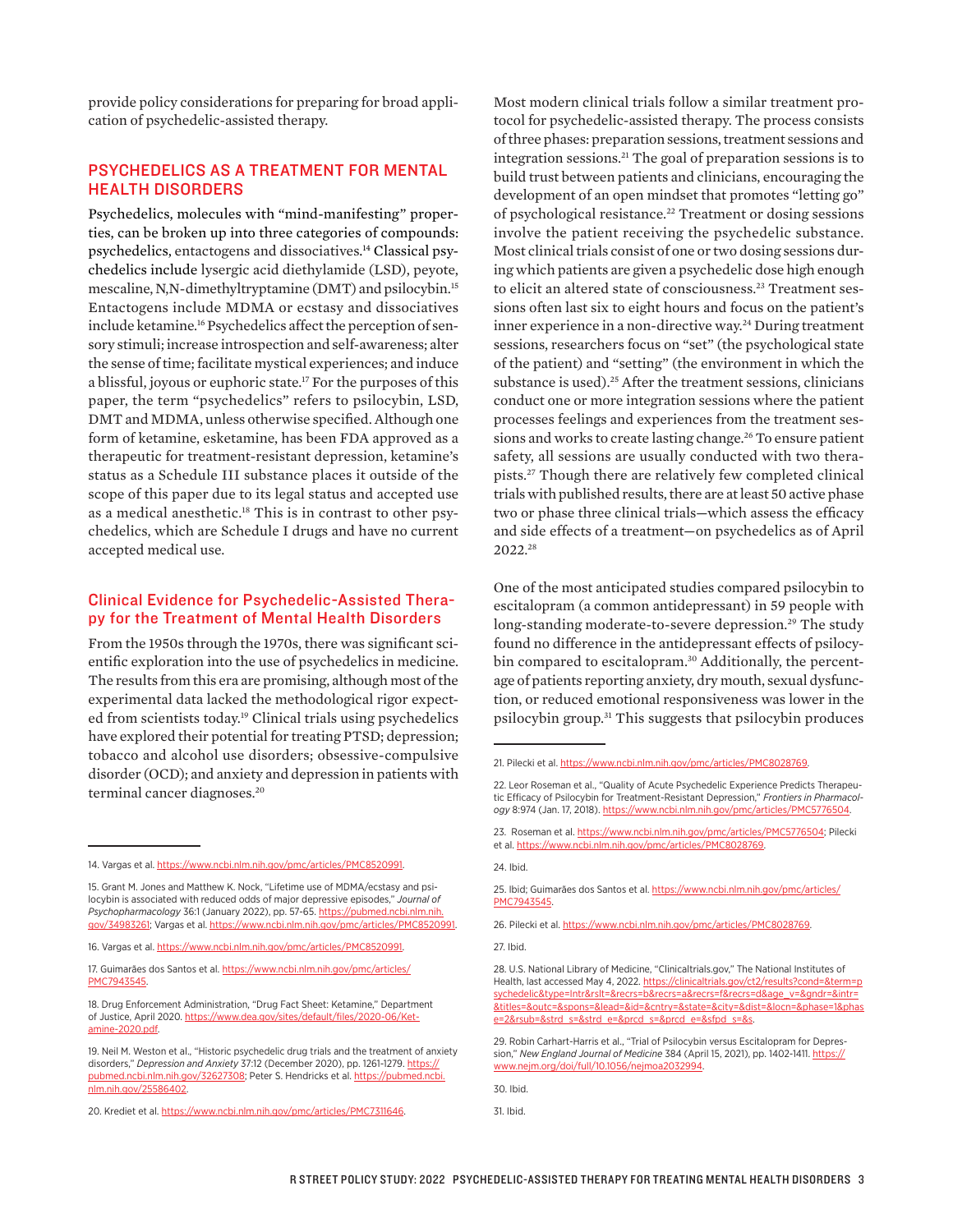provide policy considerations for preparing for broad application of psychedelic-assisted therapy.

### PSYCHEDELICS AS A TREATMENT FOR MENTAL HEALTH DISORDERS

Psychedelics, molecules with "mind-manifesting" properties, can be broken up into three categories of compounds: psychedelics, entactogens and dissociatives. 14 Classical psychedelics include lysergic acid diethylamide (LSD), peyote, mescaline, N,N-dimethyltryptamine (DMT) and psilocybin.15 Entactogens include MDMA or ecstasy and dissociatives include ketamine.<sup>16</sup> Psychedelics affect the perception of sensory stimuli; increase introspection and self-awareness; alter the sense of time; facilitate mystical experiences; and induce a blissful, joyous or euphoric state.<sup>17</sup> For the purposes of this paper, the term "psychedelics" refers to psilocybin, LSD, DMT and MDMA, unless otherwise specified. Although one form of ketamine, esketamine, has been FDA approved as a therapeutic for treatment-resistant depression, ketamine's status as a Schedule III substance places it outside of the scope of this paper due to its legal status and accepted use as a medical anesthetic.18 This is in contrast to other psychedelics, which are Schedule I drugs and have no current accepted medical use.

### Clinical Evidence for Psychedelic-Assisted Therapy for the Treatment of Mental Health Disorders

From the 1950s through the 1970s, there was significant scientific exploration into the use of psychedelics in medicine. The results from this era are promising, although most of the experimental data lacked the methodological rigor expected from scientists today.<sup>19</sup> Clinical trials using psychedelics have explored their potential for treating PTSD; depression; tobacco and alcohol use disorders; obsessive-compulsive disorder (OCD); and anxiety and depression in patients with terminal cancer diagnoses.<sup>20</sup>

Most modern clinical trials follow a similar treatment protocol for psychedelic-assisted therapy. The process consists of three phases: preparation sessions, treatment sessions and integration sessions.21 The goal of preparation sessions is to build trust between patients and clinicians, encouraging the development of an open mindset that promotes "letting go" of psychological resistance.<sup>22</sup> Treatment or dosing sessions involve the patient receiving the psychedelic substance. Most clinical trials consist of one or two dosing sessions during which patients are given a psychedelic dose high enough to elicit an altered state of consciousness.<sup>23</sup> Treatment sessions often last six to eight hours and focus on the patient's inner experience in a non-directive way.<sup>24</sup> During treatment sessions, researchers focus on "set" (the psychological state of the patient) and "setting" (the environment in which the substance is used).<sup>25</sup> After the treatment sessions, clinicians conduct one or more integration sessions where the patient processes feelings and experiences from the treatment sessions and works to create lasting change.<sup>26</sup> To ensure patient safety, all sessions are usually conducted with two therapists.27 Though there are relatively few completed clinical trials with published results, there are at least 50 active phase two or phase three clinical trials—which assess the efficacy and side effects of a treatment—on psychedelics as of April 2022.28

One of the most anticipated studies compared psilocybin to escitalopram (a common antidepressant) in 59 people with long-standing moderate-to-severe depression.<sup>29</sup> The study found no difference in the antidepressant effects of psilocybin compared to escitalopram.<sup>30</sup> Additionally, the percentage of patients reporting anxiety, dry mouth, sexual dysfunction, or reduced emotional responsiveness was lower in the psilocybin group.31 This suggests that psilocybin produces

24. Ibid.

26. Pilecki et al. [https://www.ncbi.nlm.nih.gov/pmc/articles/PMC8028769](https://www.ncbi.nlm.nih.gov/pmc/articles/PMC8028769/).

27. Ibid.

<sup>14.</sup> Vargas et al. [https://www.ncbi.nlm.nih.gov/pmc/articles/PMC8520991.](https://www.ncbi.nlm.nih.gov/pmc/articles/PMC8520991/)

<sup>15.</sup> Grant M. Jones and Matthew K. Nock, "Lifetime use of MDMA/ecstasy and psilocybin is associated with reduced odds of major depressive episodes," *Journal of Psychopharmacology* 36:1 (January 2022), pp. 57-65. [https://pubmed.ncbi.nlm.nih.](https://pubmed.ncbi.nlm.nih.gov/34983261/) [gov/34983261](https://pubmed.ncbi.nlm.nih.gov/34983261/); Vargas et al. [https://www.ncbi.nlm.nih.gov/pmc/articles/PMC8520991](https://www.ncbi.nlm.nih.gov/pmc/articles/PMC8520991/).

<sup>16.</sup> Vargas et al. [https://www.ncbi.nlm.nih.gov/pmc/articles/PMC8520991.](https://www.ncbi.nlm.nih.gov/pmc/articles/PMC8520991/)

<sup>17.</sup> Guimarães dos Santos et al. [https://www.ncbi.nlm.nih.gov/pmc/articles/](https://www.ncbi.nlm.nih.gov/pmc/articles/PMC7943545/) [PMC7943545.](https://www.ncbi.nlm.nih.gov/pmc/articles/PMC7943545/)

<sup>18.</sup> Drug Enforcement Administration, "Drug Fact Sheet: Ketamine," Department of Justice, April 2020. [https://www.dea.gov/sites/default/files/2020-06/Ket](https://www.dea.gov/sites/default/files/2020-06/Ketamine-2020.pdf)[amine-2020.pdf](https://www.dea.gov/sites/default/files/2020-06/Ketamine-2020.pdf).

<sup>19.</sup> Neil M. Weston et al., "Historic psychedelic drug trials and the treatment of anxiety disorders," *Depression and Anxiety* 37:12 (December 2020), pp. 1261-1279. [https://](https://pubmed.ncbi.nlm.nih.gov/32627308/) [pubmed.ncbi.nlm.nih.gov/32627308](https://pubmed.ncbi.nlm.nih.gov/32627308/); Peter S. Hendricks et al. [https://pubmed.ncbi.](https://pubmed.ncbi.nlm.nih.gov/25586402/) [nlm.nih.gov/25586402.](https://pubmed.ncbi.nlm.nih.gov/25586402/)

<sup>20.</sup> Krediet et al. [https://www.ncbi.nlm.nih.gov/pmc/articles/PMC7311646.](https://www.ncbi.nlm.nih.gov/pmc/articles/PMC7311646/)

<sup>21.</sup> Pilecki et al. https://www.ncbi.nlm.nih.gov/pmc/articles/PMC8028769

<sup>22.</sup> Leor Roseman et al., "Quality of Acute Psychedelic Experience Predicts Therapeutic Efficacy of Psilocybin for Treatment-Resistant Depression," *Frontiers in Pharmacology* 8:974 (Jan. 17, 2018). [https://www.ncbi.nlm.nih.gov/pmc/articles/PMC5776504.](https://www.ncbi.nlm.nih.gov/pmc/articles/PMC5776504/)

<sup>23.</sup> Roseman et al. [https://www.ncbi.nlm.nih.gov/pmc/articles/PMC5776504;](https://www.ncbi.nlm.nih.gov/pmc/articles/PMC5776504/) Pilecki et al. [https://www.ncbi.nlm.nih.gov/pmc/articles/PMC8028769.](https://www.ncbi.nlm.nih.gov/pmc/articles/PMC8028769/)

<sup>25.</sup> Ibid; Guimarães dos Santos et al. [https://www.ncbi.nlm.nih.gov/pmc/articles/](https://www.ncbi.nlm.nih.gov/pmc/articles/PMC7943545/) [PMC7943545](https://www.ncbi.nlm.nih.gov/pmc/articles/PMC7943545/).

<sup>28.</sup> U.S. National Library of Medicine, "Clinicaltrials.gov," The National Institutes of Health, last accessed May 4, 2022. [https://clinicaltrials.gov/ct2/results?cond=&term=p](https://clinicaltrials.gov/ct2/results?cond=&term=psychedelic&type=Intr&rslt=&recrs=b&recrs=a&recrs=f&recrs=d&age_v=&gndr=&intr=&titles=&outc=&spons=&lead=&id=&cntry=&state=&city=&dist=&locn=&phase=1&phase=2&rsub=&strd_s=&strd_e=&prcd_s=&prcd_e=&sfpd_s=&sfpd_e=&rfpd_s=&rfpd_e=&lupd_s=&lupd_e=&sort=) [sychedelic&type=Intr&rslt=&recrs=b&recrs=a&recrs=f&recrs=d&age\\_v=&gndr=&intr=](https://clinicaltrials.gov/ct2/results?cond=&term=psychedelic&type=Intr&rslt=&recrs=b&recrs=a&recrs=f&recrs=d&age_v=&gndr=&intr=&titles=&outc=&spons=&lead=&id=&cntry=&state=&city=&dist=&locn=&phase=1&phase=2&rsub=&strd_s=&strd_e=&prcd_s=&prcd_e=&sfpd_s=&sfpd_e=&rfpd_s=&rfpd_e=&lupd_s=&lupd_e=&sort=) [&titles=&outc=&spons=&lead=&id=&cntry=&state=&city=&dist=&locn=&phase=1&phas](https://clinicaltrials.gov/ct2/results?cond=&term=psychedelic&type=Intr&rslt=&recrs=b&recrs=a&recrs=f&recrs=d&age_v=&gndr=&intr=&titles=&outc=&spons=&lead=&id=&cntry=&state=&city=&dist=&locn=&phase=1&phase=2&rsub=&strd_s=&strd_e=&prcd_s=&prcd_e=&sfpd_s=&sfpd_e=&rfpd_s=&rfpd_e=&lupd_s=&lupd_e=&sort=) [e=2&rsub=&strd\\_s=&strd\\_e=&prcd\\_s=&prcd\\_e=&sfpd\\_s=&s.](https://clinicaltrials.gov/ct2/results?cond=&term=psychedelic&type=Intr&rslt=&recrs=b&recrs=a&recrs=f&recrs=d&age_v=&gndr=&intr=&titles=&outc=&spons=&lead=&id=&cntry=&state=&city=&dist=&locn=&phase=1&phase=2&rsub=&strd_s=&strd_e=&prcd_s=&prcd_e=&sfpd_s=&sfpd_e=&rfpd_s=&rfpd_e=&lupd_s=&lupd_e=&sort=)

<sup>29.</sup> Robin Carhart-Harris et al., "Trial of Psilocybin versus Escitalopram for Depression," *New England Journal of Medicine* 384 (April 15, 2021), pp. 1402-1411. [https://](https://www.nejm.org/doi/full/10.1056/nejmoa2032994) [www.nejm.org/doi/full/10.1056/nejmoa2032994](https://www.nejm.org/doi/full/10.1056/nejmoa2032994).

<sup>30.</sup> Ibid.

<sup>31.</sup> Ibid.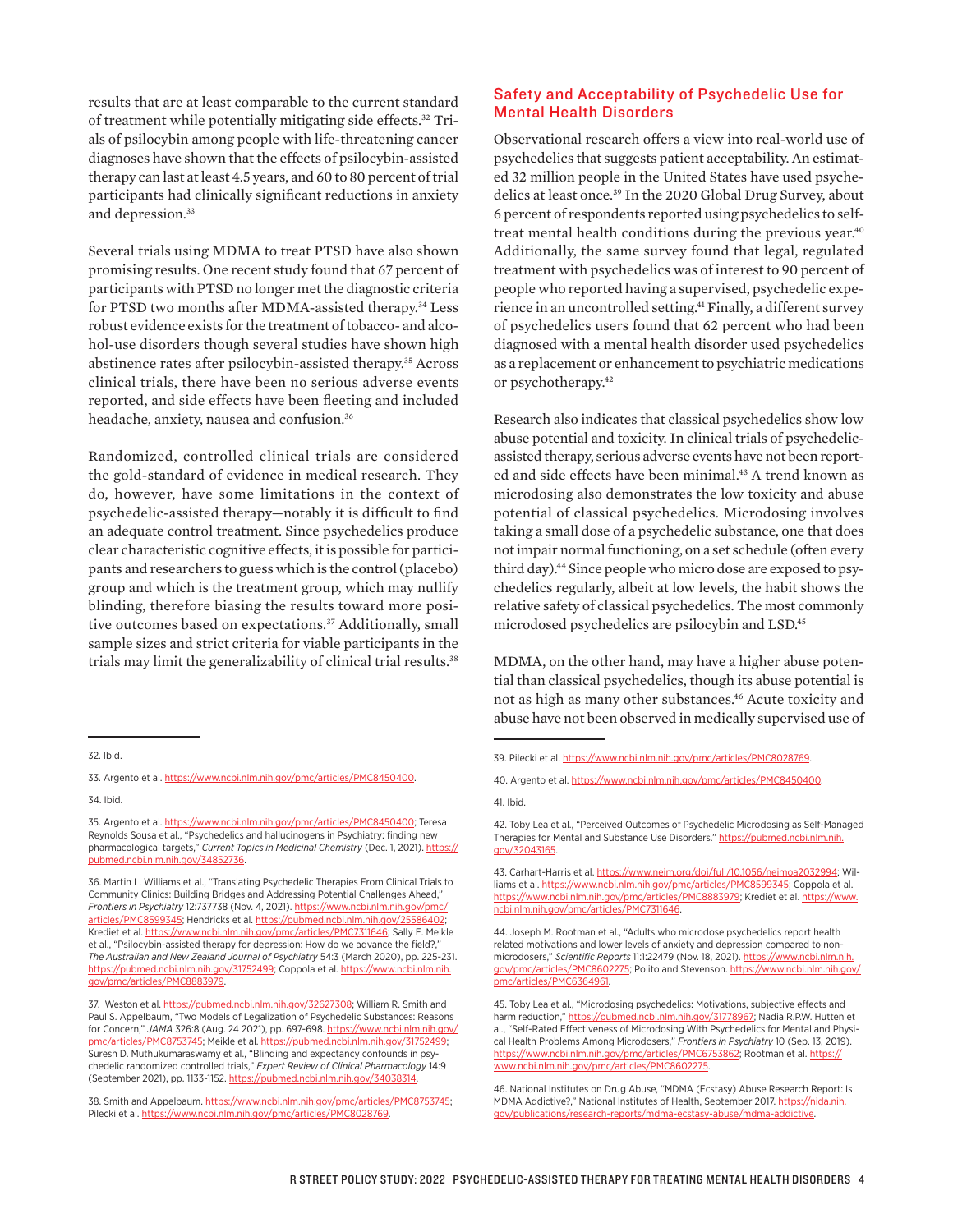results that are at least comparable to the current standard of treatment while potentially mitigating side effects.<sup>32</sup> Trials of psilocybin among people with life-threatening cancer diagnoses have shown that the effects of psilocybin-assisted therapy can last at least 4.5 years, and 60 to 80 percent of trial participants had clinically significant reductions in anxiety and depression.<sup>33</sup>

Several trials using MDMA to treat PTSD have also shown promising results. One recent study found that 67 percent of participants with PTSD no longer met the diagnostic criteria for PTSD two months after MDMA-assisted therapy.<sup>34</sup> Less robust evidence exists for the treatment of tobacco- and alcohol-use disorders though several studies have shown high abstinence rates after psilocybin-assisted therapy.<sup>35</sup> Across clinical trials, there have been no serious adverse events reported, and side effects have been fleeting and included headache, anxiety, nausea and confusion.36

Randomized, controlled clinical trials are considered the gold-standard of evidence in medical research. They do, however, have some limitations in the context of psychedelic-assisted therapy—notably it is difficult to find an adequate control treatment. Since psychedelics produce clear characteristic cognitive effects, it is possible for participants and researchers to guess which is the control (placebo) group and which is the treatment group, which may nullify blinding, therefore biasing the results toward more positive outcomes based on expectations.37 Additionally, small sample sizes and strict criteria for viable participants in the trials may limit the generalizability of clinical trial results.<sup>38</sup>

### Safety and Acceptability of Psychedelic Use for Mental Health Disorders

Observational research offers a view into real-world use of psychedelics that suggests patient acceptability. An estimated 32 million people in the United States have used psychedelics at least once.39 In the 2020 Global Drug Survey, about 6 percent of respondents reported using psychedelics to selftreat mental health conditions during the previous year.<sup>40</sup> Additionally, the same survey found that legal, regulated treatment with psychedelics was of interest to 90 percent of people who reported having a supervised, psychedelic experience in an uncontrolled setting.41 Finally, a different survey of psychedelics users found that 62 percent who had been diagnosed with a mental health disorder used psychedelics as a replacement or enhancement to psychiatric medications or psychotherapy.42

Research also indicates that classical psychedelics show low abuse potential and toxicity. In clinical trials of psychedelicassisted therapy, serious adverse events have not been reported and side effects have been minimal.<sup>43</sup> A trend known as microdosing also demonstrates the low toxicity and abuse potential of classical psychedelics. Microdosing involves taking a small dose of a psychedelic substance, one that does not impair normal functioning, on a set schedule (often every third day).<sup>44</sup> Since people who micro dose are exposed to psychedelics regularly, albeit at low levels, the habit shows the relative safety of classical psychedelics. The most commonly microdosed psychedelics are psilocybin and LSD.45

MDMA, on the other hand, may have a higher abuse potential than classical psychedelics, though its abuse potential is not as high as many other substances.<sup>46</sup> Acute toxicity and abuse have not been observed in medically supervised use of

43. Carhart-Harris et al. <https://www.nejm.org/doi/full/10.1056/nejmoa2032994>; Williams et al. [https://www.ncbi.nlm.nih.gov/pmc/articles/PMC8599345;](https://www.ncbi.nlm.nih.gov/pmc/articles/PMC8599345/) Coppola et al. [https://www.ncbi.nlm.nih.gov/pmc/articles/PMC8883979;](https://www.ncbi.nlm.nih.gov/pmc/articles/PMC8883979/) Krediet et al. [https://www.](https://www.ncbi.nlm.nih.gov/pmc/articles/PMC7311646/) [ncbi.nlm.nih.gov/pmc/articles/PMC7311646.](https://www.ncbi.nlm.nih.gov/pmc/articles/PMC7311646/)

44. Joseph M. Rootman et al., "Adults who microdose psychedelics report health related motivations and lower levels of anxiety and depression compared to nonmicrodosers," *Scientific Reports* 11:1:22479 (Nov. 18, 2021). [https://www.ncbi.nlm.nih.](https://www.ncbi.nlm.nih.gov/pmc/articles/PMC8602275/) [gov/pmc/articles/PMC8602275;](https://www.ncbi.nlm.nih.gov/pmc/articles/PMC8602275/) Polito and Stevenson. [https://www.ncbi.nlm.nih.gov/](https://www.ncbi.nlm.nih.gov/pmc/articles/PMC6364961/) [pmc/articles/PMC6364961](https://www.ncbi.nlm.nih.gov/pmc/articles/PMC6364961/).

<sup>32.</sup> Ibid.

<sup>33.</sup> Argento et al. [https://www.ncbi.nlm.nih.gov/pmc/articles/PMC8450400](https://www.ncbi.nlm.nih.gov/pmc/articles/PMC8450400/). 34. Ibid.

<sup>35.</sup> Argento et al. [https://www.ncbi.nlm.nih.gov/pmc/articles/PMC8450400](https://www.ncbi.nlm.nih.gov/pmc/articles/PMC8450400/); Teresa Reynolds Sousa et al., "Psychedelics and hallucinogens in Psychiatry: finding new pharmacological targets," *Current Topics in Medicinal Chemistry* (Dec. 1, 2021). [https://](https://pubmed.ncbi.nlm.nih.gov/34852736/) [pubmed.ncbi.nlm.nih.gov/34852736](https://pubmed.ncbi.nlm.nih.gov/34852736/).

<sup>36.</sup> Martin L. Williams et al., "Translating Psychedelic Therapies From Clinical Trials to Community Clinics: Building Bridges and Addressing Potential Challenges Ahead," *Frontiers in Psychiatry* 12:737738 (Nov. 4, 2021). [https://www.ncbi.nlm.nih.gov/pmc/](https://www.ncbi.nlm.nih.gov/pmc/articles/PMC8599345/) [articles/PMC8599345;](https://www.ncbi.nlm.nih.gov/pmc/articles/PMC8599345/) Hendricks et al. https://pubmed.ncbi.nlm.nih.gov/2558640 Krediet et al. [https://www.ncbi.nlm.nih.gov/pmc/articles/PMC7311646](https://www.ncbi.nlm.nih.gov/pmc/articles/PMC7311646/); Sally E. Meikle et al., "Psilocybin-assisted therapy for depression: How do we advance the field?," *The Australian and New Zealand Journal of Psychiatry* 54:3 (March 2020), pp. 225-231. [https://pubmed.ncbi.nlm.nih.gov/31752499](https://pubmed.ncbi.nlm.nih.gov/31752499/); Coppola et al. [https://www.ncbi.nlm.nih.](https://www.ncbi.nlm.nih.gov/pmc/articles/PMC8883979/) [gov/pmc/articles/PMC8883979.](https://www.ncbi.nlm.nih.gov/pmc/articles/PMC8883979/)

<sup>37.</sup> Weston et al. [https://pubmed.ncbi.nlm.nih.gov/32627308](https://pubmed.ncbi.nlm.nih.gov/32627308/); William R. Smith and Paul S. Appelbaum, "Two Models of Legalization of Psychedelic Substances: Reasons for Concern," *JAMA* 326:8 (Aug. 24 2021), pp. 697-698. [https://www.ncbi.nlm.nih.gov/](https://www.ncbi.nlm.nih.gov/pmc/articles/PMC8753745/) [pmc/articles/PMC8753745](https://www.ncbi.nlm.nih.gov/pmc/articles/PMC8753745/); Meikle et al. [https://pubmed.ncbi.nlm.nih.gov/31752499](https://pubmed.ncbi.nlm.nih.gov/31752499/); Suresh D. Muthukumaraswamy et al., "Blinding and expectancy confounds in psychedelic randomized controlled trials," *Expert Review of Clinical Pharmacology* 14:9 (September 2021), pp. 1133-1152. [https://pubmed.ncbi.nlm.nih.gov/34038314.](https://pubmed.ncbi.nlm.nih.gov/34038314/)

<sup>38.</sup> Smith and Appelbaum. [https://www.ncbi.nlm.nih.gov/pmc/articles/PMC8753745](https://www.ncbi.nlm.nih.gov/pmc/articles/PMC8753745/); Pilecki et al. [https://www.ncbi.nlm.nih.gov/pmc/articles/PMC8028769.](https://www.ncbi.nlm.nih.gov/pmc/articles/PMC8028769/)

<sup>39.</sup> Pilecki et al. [https://www.ncbi.nlm.nih.gov/pmc/articles/PMC8028769](https://www.ncbi.nlm.nih.gov/pmc/articles/PMC8028769/).

<sup>40.</sup> Argento et al. [https://www.ncbi.nlm.nih.gov/pmc/articles/PMC8450400.](https://www.ncbi.nlm.nih.gov/pmc/articles/PMC8450400/)

<sup>41.</sup> Ibid.

<sup>42.</sup> Toby Lea et al., "Perceived Outcomes of Psychedelic Microdosing as Self-Managed Therapies for Mental and Substance Use Disorders." [https://pubmed.ncbi.nlm.nih.](https://pubmed.ncbi.nlm.nih.gov/32043165/) [gov/32043165](https://pubmed.ncbi.nlm.nih.gov/32043165/).

<sup>45.</sup> Toby Lea et al., "Microdosing psychedelics: Motivations, subjective effects and harm reduction," [https://pubmed.ncbi.nlm.nih.gov/31778967](https://pubmed.ncbi.nlm.nih.gov/31778967/); Nadia R.P.W. Hutten et al., "Self-Rated Effectiveness of Microdosing With Psychedelics for Mental and Physical Health Problems Among Microdosers," *Frontiers in Psychiatry* 10 (Sep. 13, 2019). [https://www.ncbi.nlm.nih.gov/pmc/articles/PMC6753862](https://www.ncbi.nlm.nih.gov/pmc/articles/PMC6753862/); Rootman et al. [https://](https://www.ncbi.nlm.nih.gov/pmc/articles/PMC8602275.) [www.ncbi.nlm.nih.gov/pmc/articles/PMC8602275.](https://www.ncbi.nlm.nih.gov/pmc/articles/PMC8602275.)

<sup>46.</sup> National Institutes on Drug Abuse, "MDMA (Ecstasy) Abuse Research Report: Is MDMA Addictive?," National Institutes of Health, September 2017. [https://nida.nih.](https://nida.nih.gov/publications/research-reports/mdma-ecstasy-abuse/mdma-addictive) [gov/publications/research-reports/mdma-ecstasy-abuse/mdma-addictive](https://nida.nih.gov/publications/research-reports/mdma-ecstasy-abuse/mdma-addictive).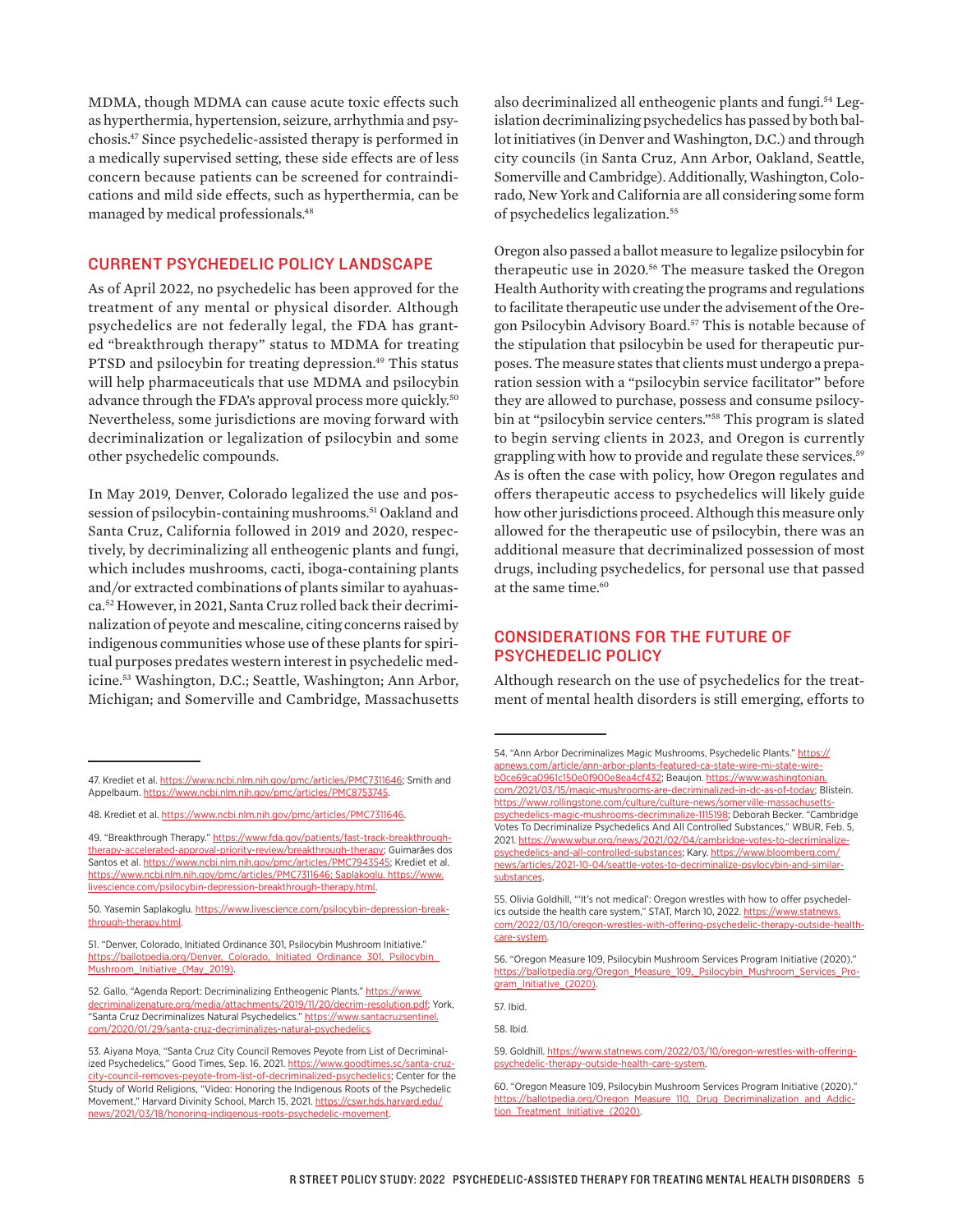MDMA, though MDMA can cause acute toxic effects such as hyperthermia, hypertension, seizure, arrhythmia and psychosis.47 Since psychedelic-assisted therapy is performed in a medically supervised setting, these side effects are of less concern because patients can be screened for contraindications and mild side effects, such as hyperthermia, can be managed by medical professionals.48

#### CURRENT PSYCHEDELIC POLICY LANDSCAPE

As of April 2022, no psychedelic has been approved for the treatment of any mental or physical disorder. Although psychedelics are not federally legal, the FDA has granted "breakthrough therapy" status to MDMA for treating PTSD and psilocybin for treating depression.<sup>49</sup> This status will help pharmaceuticals that use MDMA and psilocybin advance through the FDA's approval process more quickly.<sup>50</sup> Nevertheless, some jurisdictions are moving forward with decriminalization or legalization of psilocybin and some other psychedelic compounds.

In May 2019, Denver, Colorado legalized the use and possession of psilocybin-containing mushrooms.<sup>51</sup> Oakland and Santa Cruz, California followed in 2019 and 2020, respectively, by decriminalizing all entheogenic plants and fungi, which includes mushrooms, cacti, iboga-containing plants and/or extracted combinations of plants similar to ayahuasca.52 However, in 2021, Santa Cruz rolled back their decriminalization of peyote and mescaline, citing concerns raised by indigenous communities whose use of these plants for spiritual purposes predates western interest in psychedelic medicine.53 Washington, D.C.; Seattle, Washington; Ann Arbor, Michigan; and Somerville and Cambridge, Massachusetts

also decriminalized all entheogenic plants and fungi.54 Legislation decriminalizing psychedelics has passed by both ballot initiatives (in Denver and Washington, D.C.) and through city councils (in Santa Cruz, Ann Arbor, Oakland, Seattle, Somerville and Cambridge). Additionally, Washington, Colorado, New York and California are all considering some form of psychedelics legalization.<sup>55</sup>

Oregon also passed a ballot measure to legalize psilocybin for therapeutic use in 2020.56 The measure tasked the Oregon Health Authority with creating the programs and regulations to facilitate therapeutic use under the advisement of the Oregon Psilocybin Advisory Board.<sup>57</sup> This is notable because of the stipulation that psilocybin be used for therapeutic purposes. The measure states that clients must undergo a preparation session with a "psilocybin service facilitator" before they are allowed to purchase, possess and consume psilocybin at "psilocybin service centers."58 This program is slated to begin serving clients in 2023, and Oregon is currently grappling with how to provide and regulate these services.<sup>59</sup> As is often the case with policy, how Oregon regulates and offers therapeutic access to psychedelics will likely guide how other jurisdictions proceed. Although this measure only allowed for the therapeutic use of psilocybin, there was an additional measure that decriminalized possession of most drugs, including psychedelics, for personal use that passed at the same time.<sup>60</sup>

#### CONSIDERATIONS FOR THE FUTURE OF PSYCHEDELIC POLICY

Although research on the use of psychedelics for the treatment of mental health disorders is still emerging, efforts to

57. Ibid.

<sup>47.</sup> Krediet et al. [https://www.ncbi.nlm.nih.gov/pmc/articles/PMC7311646;](https://www.ncbi.nlm.nih.gov/pmc/articles/PMC7311646/) Smith and Appelbaum. [https://www.ncbi.nlm.nih.gov/pmc/articles/PMC8753745](https://www.ncbi.nlm.nih.gov/pmc/articles/PMC8753745/).

<sup>48.</sup> Krediet et al. [https://www.ncbi.nlm.nih.gov/pmc/articles/PMC7311646.](https://www.ncbi.nlm.nih.gov/pmc/articles/PMC7311646/)

<sup>49. &</sup>quot;Breakthrough Therapy." [https://www.fda.gov/patients/fast-track-breakthrough](https://www.fda.gov/patients/fast-track-breakthrough-therapy-accelerated-approval-priority-review/breakthrough-therapy)[therapy-accelerated-approval-priority-review/breakthrough-therapy;](https://www.fda.gov/patients/fast-track-breakthrough-therapy-accelerated-approval-priority-review/breakthrough-therapy) Guimarães dos Santos et al. [https://www.ncbi.nlm.nih.gov/pmc/articles/PMC7943545;](https://www.ncbi.nlm.nih.gov/pmc/articles/PMC7943545/) Krediet et al. [https://www.ncbi.nlm.nih.gov/pmc/articles/PMC7311646](https://www.ncbi.nlm.nih.gov/pmc/articles/PMC7311646/); Saplakoglu. https://www. livescience.com/psilocybin-depression-breakthrough-therapy.html.

<sup>50.</sup> Yasemin Saplakoglu. https://www.livescience.com/psilocybin-depression-breakthrough-therapy.html.

<sup>51. &</sup>quot;Denver, Colorado, Initiated Ordinance 301, Psilocybin Mushroom Initiative." https://ballotpedia.org/Denver, Colorado, Initiated Ordinance 301, Psilocybin [Mushroom\\_Initiative\\_\(May\\_2019\)](https://ballotpedia.org/Denver,_Colorado,_Initiated_Ordinance_301,_Psilocybin_Mushroom_Initiative_(May_2019)).

<sup>52.</sup> Gallo, "Agenda Report: Decriminalizing Entheogenic Plants." [https://www.](https://www.decriminalizenature.org/media/attachments/2019/11/20/decrim-resolution.pdf) [decriminalizenature.org/media/attachments/2019/11/20/decrim-resolution.pdf;](https://www.decriminalizenature.org/media/attachments/2019/11/20/decrim-resolution.pdf) York, "Santa Cruz Decriminalizes Natural Psychedelics." [https://www.santacruzsentinel.](https://www.santacruzsentinel.com/2020/01/29/santa-cruz-decriminalizes-natural-psychedelics/) [com/2020/01/29/santa-cruz-decriminalizes-natural-psychedelics.](https://www.santacruzsentinel.com/2020/01/29/santa-cruz-decriminalizes-natural-psychedelics/)

<sup>53.</sup> Aiyana Moya, "Santa Cruz City Council Removes Peyote from List of Decriminalized Psychedelics," Good Times, Sep. 16, 2021. [https://www.goodtimes.sc/santa-cruz](https://www.goodtimes.sc/santa-cruz-city-council-removes-peyote-from-list-of-decriminalized-psychedelics/)[city-council-removes-peyote-from-list-of-decriminalized-psychedelics](https://www.goodtimes.sc/santa-cruz-city-council-removes-peyote-from-list-of-decriminalized-psychedelics/); Center for the Study of World Religions, "Video: Honoring the Indigenous Roots of the Psychedelic Movement," Harvard Divinity School, March 15, 2021. [https://cswr.hds.harvard.edu/](https://cswr.hds.harvard.edu/news/2021/03/18/honoring-indigenous-roots-psychedelic-movement) [news/2021/03/18/honoring-indigenous-roots-psychedelic-movement.](https://cswr.hds.harvard.edu/news/2021/03/18/honoring-indigenous-roots-psychedelic-movement)

<sup>54. &</sup>quot;Ann Arbor Decriminalizes Magic Mushrooms, Psychedelic Plants." [https://](https://apnews.com/article/ann-arbor-plants-featured-ca-state-wire-mi-state-wire-b0ce69ca0961c150e0f900e8ea4cf432) [apnews.com/article/ann-arbor-plants-featured-ca-state-wire-mi-state-wire](https://apnews.com/article/ann-arbor-plants-featured-ca-state-wire-mi-state-wire-b0ce69ca0961c150e0f900e8ea4cf432)[b0ce69ca0961c150e0f900e8ea4cf432](https://apnews.com/article/ann-arbor-plants-featured-ca-state-wire-mi-state-wire-b0ce69ca0961c150e0f900e8ea4cf432); Beaujon. [https://www.washingtonian.](https://www.washingtonian.com/2021/03/15/magic-mushrooms-are-decriminalized-in-dc-as-of-today/) [com/2021/03/15/magic-mushrooms-are-decriminalized-in-dc-as-of-today;](https://www.washingtonian.com/2021/03/15/magic-mushrooms-are-decriminalized-in-dc-as-of-today/) Blistein. [https://www.rollingstone.com/culture/culture-news/somerville-massachusetts](https://www.rollingstone.com/culture/culture-news/somerville-massachusetts-psychedelics-magic-mushrooms-decriminalize-1115198/)[psychedelics-magic-mushrooms-decriminalize-1115198;](https://www.rollingstone.com/culture/culture-news/somerville-massachusetts-psychedelics-magic-mushrooms-decriminalize-1115198/) Deborah Becker. "Cambridge Votes To Decriminalize Psychedelics And All Controlled Substances." WBUR, Feb. 5, 2021. [https://www.wbur.org/news/2021/02/04/cambridge-votes-to-decriminalize-](https://www.wbur.org/news/2021/02/04/cambridge-votes-to-decriminalize-psychedelics-and-all-controlled-substances)

[psychedelics-and-all-controlled-substances](https://www.wbur.org/news/2021/02/04/cambridge-votes-to-decriminalize-psychedelics-and-all-controlled-substances); Kary. [https://www.bloomberg.com/](https://www.bloomberg.com/news/articles/2021-10-04/seattle-votes-to-decriminalize-psylocybin-and-similar-substances) [news/articles/2021-10-04/seattle-votes-to-decriminalize-psylocybin-and-similar](https://www.bloomberg.com/news/articles/2021-10-04/seattle-votes-to-decriminalize-psylocybin-and-similar-substances)[substances](https://www.bloomberg.com/news/articles/2021-10-04/seattle-votes-to-decriminalize-psylocybin-and-similar-substances).

<sup>55.</sup> Olivia Goldhill, "'It's not medical': Oregon wrestles with how to offer psychedelics outside the health care system," STAT, March 10, 2022. [https://www.statnews.](https://www.statnews.com/2022/03/10/oregon-wrestles-with-offering-psychedelic-therapy-outside-health-care-system/) [com/2022/03/10/oregon-wrestles-with-offering-psychedelic-therapy-outside-health](https://www.statnews.com/2022/03/10/oregon-wrestles-with-offering-psychedelic-therapy-outside-health-care-system/)[care-system](https://www.statnews.com/2022/03/10/oregon-wrestles-with-offering-psychedelic-therapy-outside-health-care-system/).

<sup>56. &</sup>quot;Oregon Measure 109, Psilocybin Mushroom Services Program Initiative (2020)." [https://ballotpedia.org/Oregon\\_Measure\\_109,\\_Psilocybin\\_Mushroom\\_Services\\_Pro](https://ballotpedia.org/Oregon_Measure_109,_Psilocybin_Mushroom_Services_Program_Initiative_(2020))[gram\\_Initiative\\_\(2020\).](https://ballotpedia.org/Oregon_Measure_109,_Psilocybin_Mushroom_Services_Program_Initiative_(2020))

<sup>58.</sup> Ibid.

<sup>59.</sup> Goldhill. [https://www.statnews.com/2022/03/10/oregon-wrestles-with-offering](https://www.statnews.com/2022/03/10/oregon-wrestles-with-offering-psychedelic-therapy-outside-health-care-system/)[psychedelic-therapy-outside-health-care-system.](https://www.statnews.com/2022/03/10/oregon-wrestles-with-offering-psychedelic-therapy-outside-health-care-system/)

<sup>60. &</sup>quot;Oregon Measure 109, Psilocybin Mushroom Services Program Initiative (2020)." [https://ballotpedia.org/Oregon\\_Measure\\_110,\\_Drug\\_Decriminalization\\_and\\_Addic](https://ballotpedia.org/Oregon_Measure_110,_Drug_Decriminalization_and_Addiction_Treatment_Initiative_(2020))[tion\\_Treatment\\_Initiative\\_\(2020\)](https://ballotpedia.org/Oregon_Measure_110,_Drug_Decriminalization_and_Addiction_Treatment_Initiative_(2020)).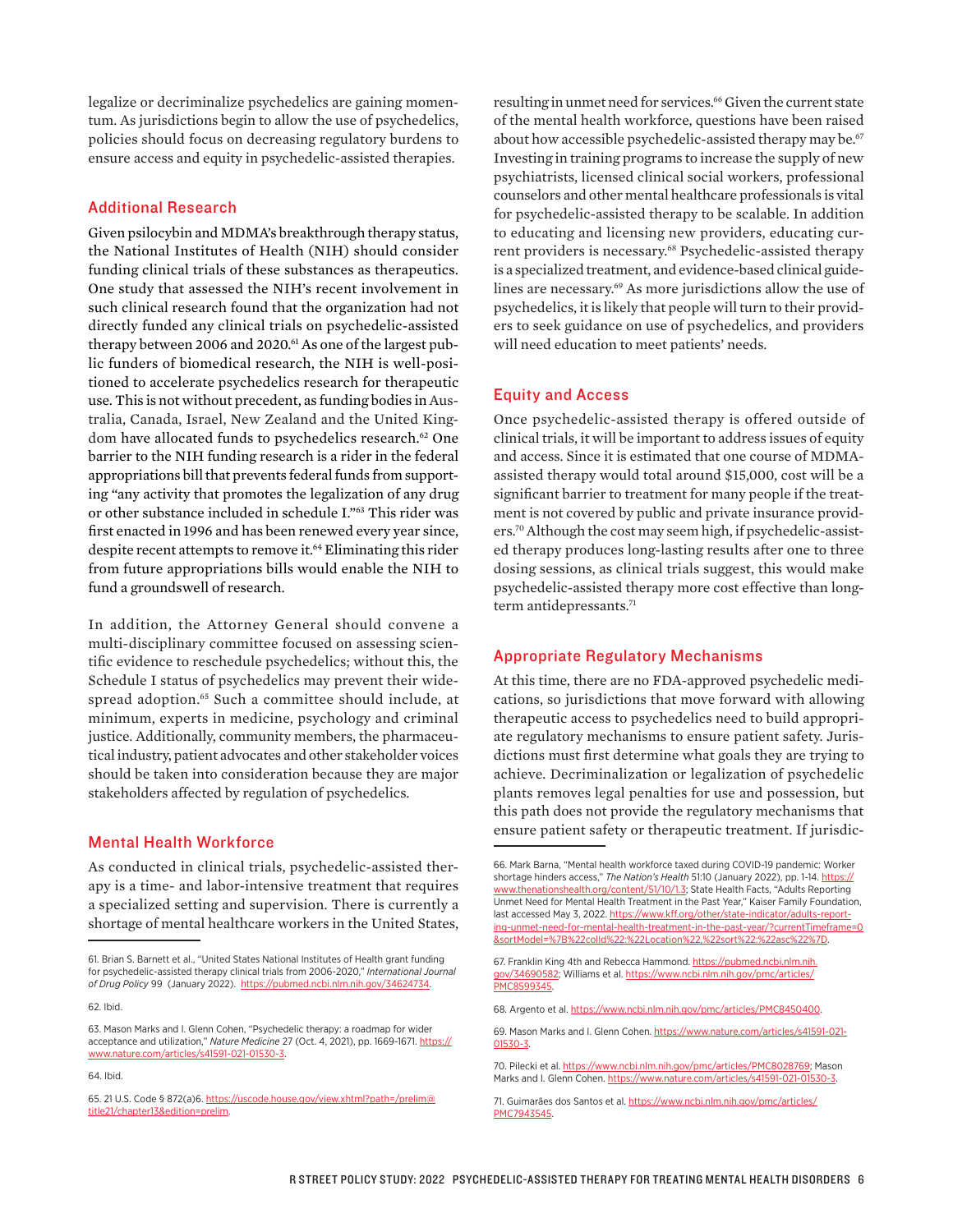legalize or decriminalize psychedelics are gaining momentum. As jurisdictions begin to allow the use of psychedelics, policies should focus on decreasing regulatory burdens to ensure access and equity in psychedelic-assisted therapies.

#### Additional Research

Given psilocybin and MDMA's breakthrough therapy status, the National Institutes of Health (NIH) should consider funding clinical trials of these substances as therapeutics. One study that assessed the NIH's recent involvement in such clinical research found that the organization had not directly funded any clinical trials on psychedelic-assisted therapy between 2006 and 2020.<sup>61</sup> As one of the largest public funders of biomedical research, the NIH is well-positioned to accelerate psychedelics research for therapeutic use. This is not without precedent, as funding bodies in Australia, Canada, Israel, New Zealand and the United Kingdom have allocated funds to psychedelics research.<sup>62</sup> One barrier to the NIH funding research is a rider in the federal appropriations bill that prevents federal funds from supporting "any activity that promotes the legalization of any drug or other substance included in schedule I."63 This rider was first enacted in 1996 and has been renewed every year since, despite recent attempts to remove it.<sup>64</sup> Eliminating this rider from future appropriations bills would enable the NIH to fund a groundswell of research.

In addition, the Attorney General should convene a multi-disciplinary committee focused on assessing scientific evidence to reschedule psychedelics; without this, the Schedule I status of psychedelics may prevent their widespread adoption.65 Such a committee should include, at minimum, experts in medicine, psychology and criminal justice. Additionally, community members, the pharmaceutical industry, patient advocates and other stakeholder voices should be taken into consideration because they are major stakeholders affected by regulation of psychedelics.

#### Mental Health Workforce

As conducted in clinical trials, psychedelic-assisted therapy is a time- and labor-intensive treatment that requires a specialized setting and supervision. There is currently a shortage of mental healthcare workers in the United States,

resulting in unmet need for services.<sup>66</sup> Given the current state of the mental health workforce, questions have been raised about how accessible psychedelic-assisted therapy may be.<sup>67</sup> Investing in training programs to increase the supply of new psychiatrists, licensed clinical social workers, professional counselors and other mental healthcare professionals is vital for psychedelic-assisted therapy to be scalable. In addition to educating and licensing new providers, educating current providers is necessary.<sup>68</sup> Psychedelic-assisted therapy is a specialized treatment, and evidence-based clinical guidelines are necessary.<sup>69</sup> As more jurisdictions allow the use of psychedelics, it is likely that people will turn to their providers to seek guidance on use of psychedelics, and providers will need education to meet patients' needs.

#### Equity and Access

Once psychedelic-assisted therapy is offered outside of clinical trials, it will be important to address issues of equity and access. Since it is estimated that one course of MDMAassisted therapy would total around \$15,000, cost will be a significant barrier to treatment for many people if the treatment is not covered by public and private insurance providers.70 Although the cost may seem high, if psychedelic-assisted therapy produces long-lasting results after one to three dosing sessions, as clinical trials suggest, this would make psychedelic-assisted therapy more cost effective than longterm antidepressants.<sup>71</sup>

#### Appropriate Regulatory Mechanisms

At this time, there are no FDA-approved psychedelic medications, so jurisdictions that move forward with allowing therapeutic access to psychedelics need to build appropriate regulatory mechanisms to ensure patient safety. Jurisdictions must first determine what goals they are trying to achieve. Decriminalization or legalization of psychedelic plants removes legal penalties for use and possession, but this path does not provide the regulatory mechanisms that ensure patient safety or therapeutic treatment. If jurisdic-

<sup>61.</sup> Brian S. Barnett et al., "United States National Institutes of Health grant funding for psychedelic-assisted therapy clinical trials from 2006-2020," *International Journal of Drug Policy* 99 (January 2022). [https://pubmed.ncbi.nlm.nih.gov/34624734.](https://pubmed.ncbi.nlm.nih.gov/34624734/)

<sup>62.</sup> Ibid.

<sup>63.</sup> Mason Marks and I. Glenn Cohen, "Psychedelic therapy: a roadmap for wider acceptance and utilization," *Nature Medicine* 27 (Oct. 4, 2021), pp. 1669-1671. [https://](https://www.nature.com/articles/s41591-021-01530-3) [www.nature.com/articles/s41591-021-01530-3.](https://www.nature.com/articles/s41591-021-01530-3)

<sup>64.</sup> Ibid.

<sup>65. 21</sup> U.S. Code § 872(a)6. [https://uscode.house.gov/view.xhtml?path=/prelim@](https://uscode.house.gov/view.xhtml?path=/prelim@title21/chapter13&edition=prelim) [title21/chapter13&edition=prelim.](https://uscode.house.gov/view.xhtml?path=/prelim@title21/chapter13&edition=prelim)

<sup>66.</sup> Mark Barna, "Mental health workforce taxed during COVID-19 pandemic: Worker shortage hinders access," *The Nation's Health* 51:10 (January 2022), pp. 1-14. [https://](https://www.thenationshealth.org/content/51/10/1.3) [www.thenationshealth.org/content/51/10/1.3;](https://www.thenationshealth.org/content/51/10/1.3) State Health Facts, "Adults Reporting Unmet Need for Mental Health Treatment in the Past Year," Kaiser Family Foundation, last accessed May 3, 2022. [https://www.kff.org/other/state-indicator/adults-report](https://www.kff.org/other/state-indicator/adults-reporting-unmet-need-for-mental-health-treatment-in-the-past-year/?currentTimeframe=0&sortModel=%7B%22colId%22:%22Location%22,%22sort%22:%22asc%22%7D)[ing-unmet-need-for-mental-health-treatment-in-the-past-year/?currentTimeframe=0](https://www.kff.org/other/state-indicator/adults-reporting-unmet-need-for-mental-health-treatment-in-the-past-year/?currentTimeframe=0&sortModel=%7B%22colId%22:%22Location%22,%22sort%22:%22asc%22%7D) [&sortModel=%7B%22colId%22:%22Location%22,%22sort%22:%22asc%22%7D.](https://www.kff.org/other/state-indicator/adults-reporting-unmet-need-for-mental-health-treatment-in-the-past-year/?currentTimeframe=0&sortModel=%7B%22colId%22:%22Location%22,%22sort%22:%22asc%22%7D)

<sup>67.</sup> Franklin King 4th and Rebecca Hammond. [https://pubmed.ncbi.nlm.nih.](https://pubmed.ncbi.nlm.nih.gov/34690582/) [gov/34690582;](https://pubmed.ncbi.nlm.nih.gov/34690582/) Williams et al. [https://www.ncbi.nlm.nih.gov/pmc/articles/](https://www.ncbi.nlm.nih.gov/pmc/articles/PMC8599345/) [PMC8599345.](https://www.ncbi.nlm.nih.gov/pmc/articles/PMC8599345/)

<sup>68.</sup> Argento et al. [https://www.ncbi.nlm.nih.gov/pmc/articles/PMC8450400](https://www.ncbi.nlm.nih.gov/pmc/articles/PMC8450400/).

<sup>69.</sup> Mason Marks and I. Glenn Cohen. [https://www.nature.com/articles/s41591-021-](https://www.nature.com/articles/s41591-021-01530-3) [01530-3.](https://www.nature.com/articles/s41591-021-01530-3)

<sup>70.</sup> Pilecki et al. [https://www.ncbi.nlm.nih.gov/pmc/articles/PMC8028769;](https://www.ncbi.nlm.nih.gov/pmc/articles/PMC8028769/) Mason Marks and I. Glenn Cohen. <https://www.nature.com/articles/s41591-021-01530-3>.

<sup>71.</sup> Guimarães dos Santos et al. [https://www.ncbi.nlm.nih.gov/pmc/articles/](https://www.ncbi.nlm.nih.gov/pmc/articles/PMC7943545.%20) [PMC7943545.](https://www.ncbi.nlm.nih.gov/pmc/articles/PMC7943545.%20)